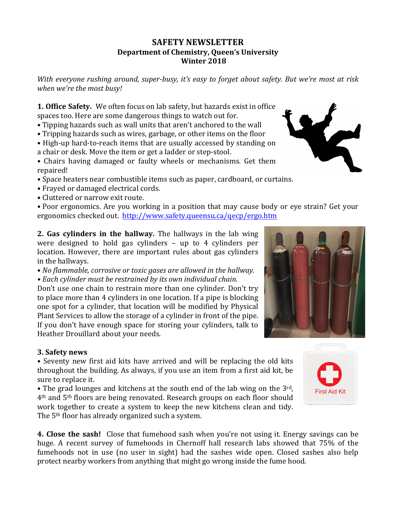## **SAFETY NEWSLETTER Department of Chemistry, Queen's University Winter 2018**

*With* everyone rushing around, super-busy, it's easy to forget about safety. But we're most at risk *when* we're the most busy!

**1. Office Safety.** We often focus on lab safety, but hazards exist in office spaces too. Here are some dangerous things to watch out for.

- Tipping hazards such as wall units that aren't anchored to the wall
- Tripping hazards such as wires, garbage, or other items on the floor
- High-up hard-to-reach items that are usually accessed by standing on a chair or desk. Move the item or get a ladder or step-stool.
- Chairs having damaged or faulty wheels or mechanisms. Get them repaired!
- Space heaters near combustible items such as paper, cardboard, or curtains.
- Frayed or damaged electrical cords.
- Cluttered or narrow exit route.

• Poor ergonomics. Are you working in a position that may cause body or eve strain? Get your ergonomics checked out. http://www.safety.queensu.ca/qecp/ergo.htm

**2. Gas cylinders in the hallway.** The hallways in the lab wing were designed to hold gas cylinders  $-$  up to 4 cylinders per location. However, there are important rules about gas cylinders in the hallways.

• No flammable, corrosive or toxic gases are allowed in the hallway. *• Each cylinder must be restrained by its own individual chain.*

Don't use one chain to restrain more than one cylinder. Don't try to place more than 4 cylinders in one location. If a pipe is blocking one spot for a cylinder, that location will be modified by Physical Plant Services to allow the storage of a cylinder in front of the pipe. If you don't have enough space for storing your cylinders, talk to **the state of the state** Heather Drouillard about your needs. **,mpULnW /RFDWLRQV ,mpULnW &RORUV**

## **3. Safety news**

• Seventy new first aid kits have arrived and will be replacing the old kits throughout the building. As always, if you use an item from a first aid kit, be sure to replace it.

• The grad lounges and kitchens at the south end of the lab wing on the  $3^{rd}$ .  $4<sup>th</sup>$  and  $5<sup>th</sup>$  floors are being renovated. Research groups on each floor should work together to create a system to keep the new kitchens clean and tidy. The  $5<sup>th</sup>$  floor has already organized such a system.

4. Close the sash! Close that fumehood sash when you're not using it. Energy savings can be huge. A recent survey of fumehoods in Chernoff hall research labs showed that 75% of the fumehoods not in use (no user in sight) had the sashes wide open. Closed sashes also help protect nearby workers from anything that might go wrong inside the fume hood.





**First Aid Kit**